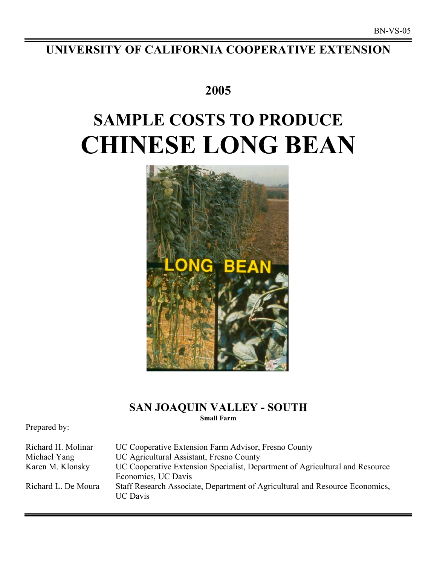# **UNIVERSITY OF CALIFORNIA COOPERATIVE EXTENSION**

# **2005**

# **SAMPLE COSTS TO PRODUCE CHINESE LONG BEAN**



# **SAN JOAQUIN VALLEY - SOUTH Small Farm**

Prepared by:

| Richard H. Molinar  | UC Cooperative Extension Farm Advisor, Fresno County                                                |
|---------------------|-----------------------------------------------------------------------------------------------------|
| Michael Yang        | UC Agricultural Assistant, Fresno County                                                            |
| Karen M. Klonsky    | UC Cooperative Extension Specialist, Department of Agricultural and Resource<br>Economics, UC Davis |
| Richard L. De Moura | Staff Research Associate, Department of Agricultural and Resource Economics,<br><b>UC</b> Davis     |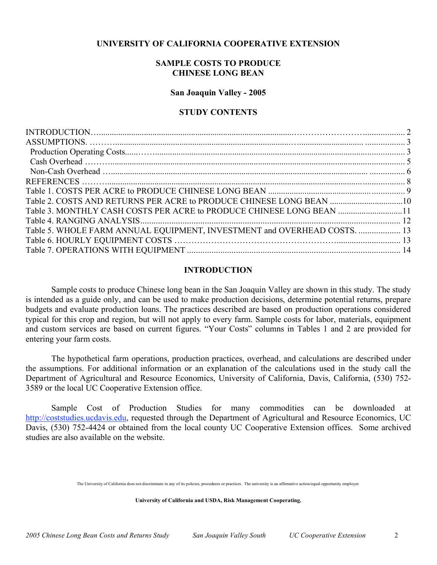# **UNIVERSITY OF CALIFORNIA COOPERATIVE EXTENSION**

# **SAMPLE COSTS TO PRODUCE CHINESE LONG BEAN**

**San Joaquin Valley - 2005**

# **STUDY CONTENTS**

| Table 2. COSTS AND RETURNS PER ACRE to PRODUCE CHINESE LONG BEAN 10      |  |
|--------------------------------------------------------------------------|--|
| Table 3. MONTHLY CASH COSTS PER ACRE to PRODUCE CHINESE LONG BEAN 11     |  |
|                                                                          |  |
| Table 5. WHOLE FARM ANNUAL EQUIPMENT, INVESTMENT and OVERHEAD COSTS.  13 |  |
|                                                                          |  |
|                                                                          |  |

# **INTRODUCTION**

Sample costs to produce Chinese long bean in the San Joaquin Valley are shown in this study. The study is intended as a guide only, and can be used to make production decisions, determine potential returns, prepare budgets and evaluate production loans. The practices described are based on production operations considered typical for this crop and region, but will not apply to every farm. Sample costs for labor, materials, equipment and custom services are based on current figures. "Your Costs" columns in Tables 1 and 2 are provided for entering your farm costs.

The hypothetical farm operations, production practices, overhead, and calculations are described under the assumptions. For additional information or an explanation of the calculations used in the study call the Department of Agricultural and Resource Economics, University of California, Davis, California, (530) 752- 3589 or the local UC Cooperative Extension office.

Sample Cost of Production Studies for many commodities can be downloaded at http://coststudies.ucdavis.edu, requested through the Department of Agricultural and Resource Economics, UC Davis, (530) 752-4424 or obtained from the local county UC Cooperative Extension offices. Some archived studies are also available on the website.

The University of California does not discriminate in any of its policies, procedures or practices. The university is an affirmative action/equal opportunity employer.

**University of California and USDA, Risk Management Cooperating.**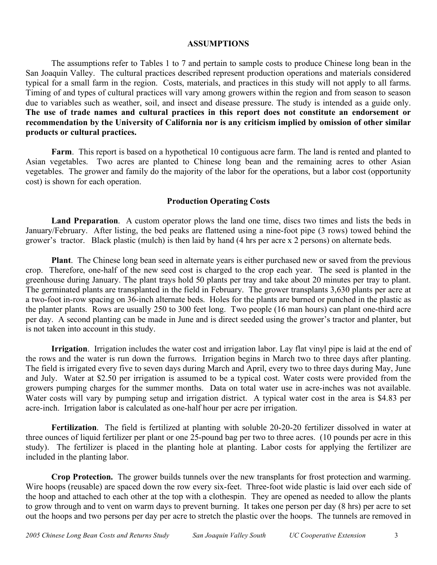# **ASSUMPTIONS**

The assumptions refer to Tables 1 to 7 and pertain to sample costs to produce Chinese long bean in the San Joaquin Valley. The cultural practices described represent production operations and materials considered typical for a small farm in the region. Costs, materials, and practices in this study will not apply to all farms. Timing of and types of cultural practices will vary among growers within the region and from season to season due to variables such as weather, soil, and insect and disease pressure. The study is intended as a guide only. **The use of trade names and cultural practices in this report does not constitute an endorsement or recommendation by the University of California nor is any criticism implied by omission of other similar products or cultural practices.**

**Farm**. This report is based on a hypothetical 10 contiguous acre farm. The land is rented and planted to Asian vegetables. Two acres are planted to Chinese long bean and the remaining acres to other Asian vegetables. The grower and family do the majority of the labor for the operations, but a labor cost (opportunity cost) is shown for each operation.

# **Production Operating Costs**

**Land Preparation**. A custom operator plows the land one time, discs two times and lists the beds in January/February. After listing, the bed peaks are flattened using a nine-foot pipe (3 rows) towed behind the grower's tractor. Black plastic (mulch) is then laid by hand (4 hrs per acre x 2 persons) on alternate beds.

**Plant**. The Chinese long bean seed in alternate years is either purchased new or saved from the previous crop. Therefore, one-half of the new seed cost is charged to the crop each year. The seed is planted in the greenhouse during January. The plant trays hold 50 plants per tray and take about 20 minutes per tray to plant. The germinated plants are transplanted in the field in February. The grower transplants 3,630 plants per acre at a two-foot in-row spacing on 36-inch alternate beds. Holes for the plants are burned or punched in the plastic as the planter plants. Rows are usually 250 to 300 feet long. Two people (16 man hours) can plant one-third acre per day. A second planting can be made in June and is direct seeded using the grower's tractor and planter, but is not taken into account in this study.

**Irrigation**. Irrigation includes the water cost and irrigation labor. Lay flat vinyl pipe is laid at the end of the rows and the water is run down the furrows. Irrigation begins in March two to three days after planting. The field is irrigated every five to seven days during March and April, every two to three days during May, June and July. Water at \$2.50 per irrigation is assumed to be a typical cost. Water costs were provided from the growers pumping charges for the summer months. Data on total water use in acre-inches was not available. Water costs will vary by pumping setup and irrigation district. A typical water cost in the area is \$4.83 per acre-inch. Irrigation labor is calculated as one-half hour per acre per irrigation.

**Fertilization**. The field is fertilized at planting with soluble 20-20-20 fertilizer dissolved in water at three ounces of liquid fertilizer per plant or one 25-pound bag per two to three acres. (10 pounds per acre in this study). The fertilizer is placed in the planting hole at planting. Labor costs for applying the fertilizer are included in the planting labor.

**Crop Protection.** The grower builds tunnels over the new transplants for frost protection and warming. Wire hoops (reusable) are spaced down the row every six-feet. Three-foot wide plastic is laid over each side of the hoop and attached to each other at the top with a clothespin. They are opened as needed to allow the plants to grow through and to vent on warm days to prevent burning. It takes one person per day (8 hrs) per acre to set out the hoops and two persons per day per acre to stretch the plastic over the hoops. The tunnels are removed in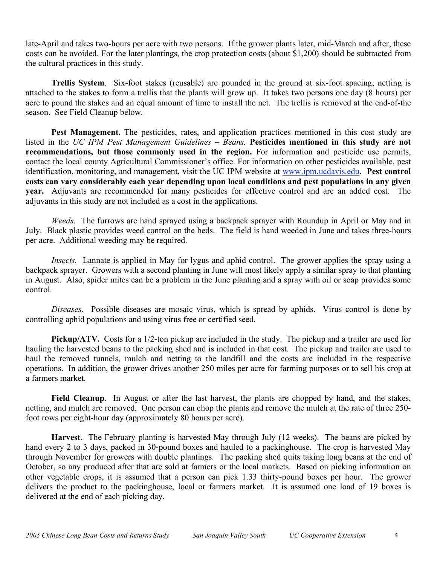late-April and takes two-hours per acre with two persons. If the grower plants later, mid-March and after, these costs can be avoided. For the later plantings, the crop protection costs (about \$1,200) should be subtracted from the cultural practices in this study.

**Trellis System**. Six-foot stakes (reusable) are pounded in the ground at six-foot spacing; netting is attached to the stakes to form a trellis that the plants will grow up. It takes two persons one day (8 hours) per acre to pound the stakes and an equal amount of time to install the net. The trellis is removed at the end-of-the season. See Field Cleanup below.

**Pest Management.** The pesticides, rates, and application practices mentioned in this cost study are listed in the *UC IPM Pest Management Guidelines – Beans.* **Pesticides mentioned in this study are not recommendations, but those commonly used in the region.** For information and pesticide use permits, contact the local county Agricultural Commissioner's office. For information on other pesticides available, pest identification, monitoring, and management, visit the UC IPM website at www.ipm.ucdavis.edu. **Pest control costs can vary considerably each year depending upon local conditions and pest populations in any given year.** Adjuvants are recommended for many pesticides for effective control and are an added cost. The adjuvants in this study are not included as a cost in the applications.

*Weeds*. The furrows are hand sprayed using a backpack sprayer with Roundup in April or May and in July. Black plastic provides weed control on the beds. The field is hand weeded in June and takes three-hours per acre. Additional weeding may be required.

*Insects.* Lannate is applied in May for lygus and aphid control. The grower applies the spray using a backpack sprayer. Growers with a second planting in June will most likely apply a similar spray to that planting in August. Also, spider mites can be a problem in the June planting and a spray with oil or soap provides some control.

*Diseases.* Possible diseases are mosaic virus, which is spread by aphids. Virus control is done by controlling aphid populations and using virus free or certified seed.

**Pickup/ATV.** Costs for a 1/2-ton pickup are included in the study. The pickup and a trailer are used for hauling the harvested beans to the packing shed and is included in that cost. The pickup and trailer are used to haul the removed tunnels, mulch and netting to the landfill and the costs are included in the respective operations. In addition, the grower drives another 250 miles per acre for farming purposes or to sell his crop at a farmers market.

**Field Cleanup**. In August or after the last harvest, the plants are chopped by hand, and the stakes, netting, and mulch are removed. One person can chop the plants and remove the mulch at the rate of three 250 foot rows per eight-hour day (approximately 80 hours per acre).

**Harvest**. The February planting is harvested May through July (12 weeks). The beans are picked by hand every 2 to 3 days, packed in 30-pound boxes and hauled to a packinghouse. The crop is harvested May through November for growers with double plantings. The packing shed quits taking long beans at the end of October, so any produced after that are sold at farmers or the local markets. Based on picking information on other vegetable crops, it is assumed that a person can pick 1.33 thirty-pound boxes per hour. The grower delivers the product to the packinghouse, local or farmers market. It is assumed one load of 19 boxes is delivered at the end of each picking day.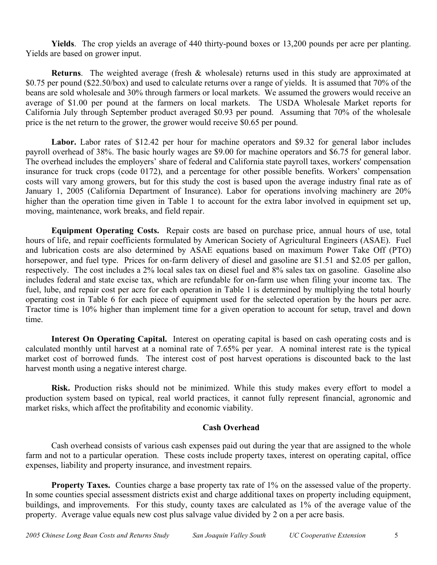**Yields**. The crop yields an average of 440 thirty-pound boxes or 13,200 pounds per acre per planting. Yields are based on grower input.

**Returns**. The weighted average (fresh & wholesale) returns used in this study are approximated at \$0.75 per pound (\$22.50/box) and used to calculate returns over a range of yields. It is assumed that 70% of the beans are sold wholesale and 30% through farmers or local markets. We assumed the growers would receive an average of \$1.00 per pound at the farmers on local markets. The USDA Wholesale Market reports for California July through September product averaged \$0.93 per pound. Assuming that 70% of the wholesale price is the net return to the grower, the grower would receive \$0.65 per pound.

Labor. Labor rates of \$12.42 per hour for machine operators and \$9.32 for general labor includes payroll overhead of 38%. The basic hourly wages are \$9.00 for machine operators and \$6.75 for general labor. The overhead includes the employers' share of federal and California state payroll taxes, workers' compensation insurance for truck crops (code 0172), and a percentage for other possible benefits. Workers' compensation costs will vary among growers, but for this study the cost is based upon the average industry final rate as of January 1, 2005 (California Department of Insurance). Labor for operations involving machinery are 20% higher than the operation time given in Table 1 to account for the extra labor involved in equipment set up, moving, maintenance, work breaks, and field repair.

**Equipment Operating Costs.** Repair costs are based on purchase price, annual hours of use, total hours of life, and repair coefficients formulated by American Society of Agricultural Engineers (ASAE). Fuel and lubrication costs are also determined by ASAE equations based on maximum Power Take Off (PTO) horsepower, and fuel type. Prices for on-farm delivery of diesel and gasoline are \$1.51 and \$2.05 per gallon, respectively. The cost includes a 2% local sales tax on diesel fuel and 8% sales tax on gasoline. Gasoline also includes federal and state excise tax, which are refundable for on-farm use when filing your income tax. The fuel, lube, and repair cost per acre for each operation in Table 1 is determined by multiplying the total hourly operating cost in Table 6 for each piece of equipment used for the selected operation by the hours per acre. Tractor time is 10% higher than implement time for a given operation to account for setup, travel and down time.

**Interest On Operating Capital.** Interest on operating capital is based on cash operating costs and is calculated monthly until harvest at a nominal rate of 7.65% per year. A nominal interest rate is the typical market cost of borrowed funds. The interest cost of post harvest operations is discounted back to the last harvest month using a negative interest charge.

**Risk.** Production risks should not be minimized. While this study makes every effort to model a production system based on typical, real world practices, it cannot fully represent financial, agronomic and market risks, which affect the profitability and economic viability.

# **Cash Overhead**

Cash overhead consists of various cash expenses paid out during the year that are assigned to the whole farm and not to a particular operation. These costs include property taxes, interest on operating capital, office expenses, liability and property insurance, and investment repairs.

**Property Taxes.** Counties charge a base property tax rate of 1% on the assessed value of the property. In some counties special assessment districts exist and charge additional taxes on property including equipment, buildings, and improvements. For this study, county taxes are calculated as 1% of the average value of the property. Average value equals new cost plus salvage value divided by 2 on a per acre basis.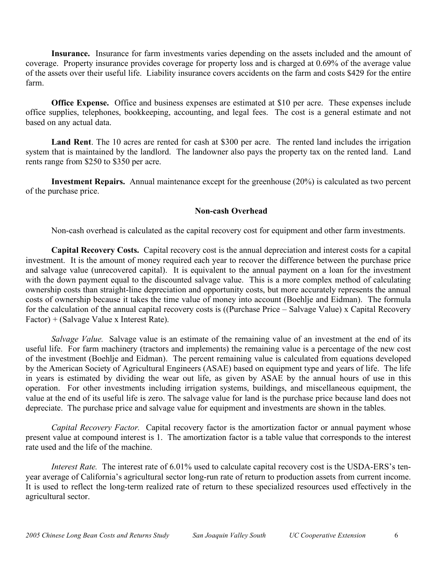**Insurance.** Insurance for farm investments varies depending on the assets included and the amount of coverage. Property insurance provides coverage for property loss and is charged at 0.69% of the average value of the assets over their useful life. Liability insurance covers accidents on the farm and costs \$429 for the entire farm.

**Office Expense.** Office and business expenses are estimated at \$10 per acre. These expenses include office supplies, telephones, bookkeeping, accounting, and legal fees. The cost is a general estimate and not based on any actual data.

**Land Rent**. The 10 acres are rented for cash at \$300 per acre. The rented land includes the irrigation system that is maintained by the landlord. The landowner also pays the property tax on the rented land. Land rents range from \$250 to \$350 per acre.

**Investment Repairs.** Annual maintenance except for the greenhouse (20%) is calculated as two percent of the purchase price.

# **Non-cash Overhead**

Non-cash overhead is calculated as the capital recovery cost for equipment and other farm investments.

**Capital Recovery Costs.** Capital recovery cost is the annual depreciation and interest costs for a capital investment. It is the amount of money required each year to recover the difference between the purchase price and salvage value (unrecovered capital). It is equivalent to the annual payment on a loan for the investment with the down payment equal to the discounted salvage value. This is a more complex method of calculating ownership costs than straight-line depreciation and opportunity costs, but more accurately represents the annual costs of ownership because it takes the time value of money into account (Boehlje and Eidman). The formula for the calculation of the annual capital recovery costs is ((Purchase Price – Salvage Value) x Capital Recovery Factor) + (Salvage Value x Interest Rate).

*Salvage Value.* Salvage value is an estimate of the remaining value of an investment at the end of its useful life. For farm machinery (tractors and implements) the remaining value is a percentage of the new cost of the investment (Boehlje and Eidman). The percent remaining value is calculated from equations developed by the American Society of Agricultural Engineers (ASAE) based on equipment type and years of life. The life in years is estimated by dividing the wear out life, as given by ASAE by the annual hours of use in this operation. For other investments including irrigation systems, buildings, and miscellaneous equipment, the value at the end of its useful life is zero. The salvage value for land is the purchase price because land does not depreciate. The purchase price and salvage value for equipment and investments are shown in the tables.

*Capital Recovery Factor.* Capital recovery factor is the amortization factor or annual payment whose present value at compound interest is 1. The amortization factor is a table value that corresponds to the interest rate used and the life of the machine.

*Interest Rate.* The interest rate of 6.01% used to calculate capital recovery cost is the USDA-ERS's tenyear average of California's agricultural sector long-run rate of return to production assets from current income. It is used to reflect the long-term realized rate of return to these specialized resources used effectively in the agricultural sector.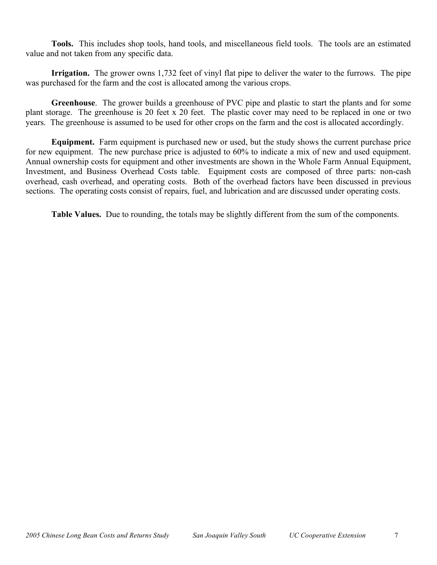**Tools.** This includes shop tools, hand tools, and miscellaneous field tools. The tools are an estimated value and not taken from any specific data.

**Irrigation.** The grower owns 1,732 feet of vinyl flat pipe to deliver the water to the furrows. The pipe was purchased for the farm and the cost is allocated among the various crops.

**Greenhouse**. The grower builds a greenhouse of PVC pipe and plastic to start the plants and for some plant storage. The greenhouse is 20 feet x 20 feet. The plastic cover may need to be replaced in one or two years. The greenhouse is assumed to be used for other crops on the farm and the cost is allocated accordingly.

**Equipment.** Farm equipment is purchased new or used, but the study shows the current purchase price for new equipment. The new purchase price is adjusted to 60% to indicate a mix of new and used equipment. Annual ownership costs for equipment and other investments are shown in the Whole Farm Annual Equipment, Investment, and Business Overhead Costs table. Equipment costs are composed of three parts: non-cash overhead, cash overhead, and operating costs. Both of the overhead factors have been discussed in previous sections. The operating costs consist of repairs, fuel, and lubrication and are discussed under operating costs.

**Table Values.** Due to rounding, the totals may be slightly different from the sum of the components.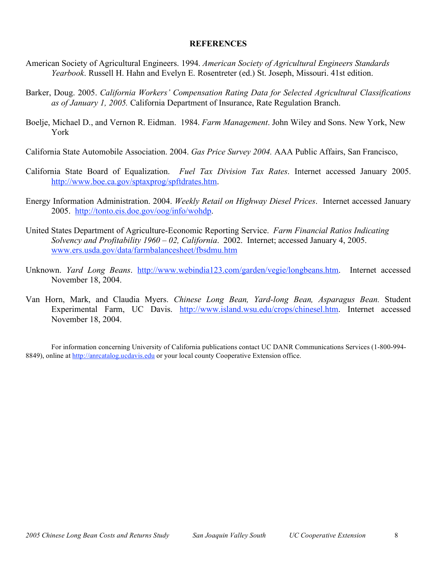### **REFERENCES**

- American Society of Agricultural Engineers. 1994. *American Society of Agricultural Engineers Standards Yearbook*. Russell H. Hahn and Evelyn E. Rosentreter (ed.) St. Joseph, Missouri. 41st edition.
- Barker, Doug. 2005. *California Workers' Compensation Rating Data for Selected Agricultural Classifications as of January 1, 2005.* California Department of Insurance, Rate Regulation Branch.
- Boelje, Michael D., and Vernon R. Eidman. 1984. *Farm Management*. John Wiley and Sons. New York, New York
- California State Automobile Association. 2004. *Gas Price Survey 2004.* AAA Public Affairs, San Francisco,
- California State Board of Equalization. *Fuel Tax Division Tax Rates*. Internet accessed January 2005. http://www.boe.ca.gov/sptaxprog/spftdrates.htm.
- Energy Information Administration. 2004. *Weekly Retail on Highway Diesel Prices*. Internet accessed January 2005. http://tonto.eis.doe.gov/oog/info/wohdp.
- United States Department of Agriculture-Economic Reporting Service. *Farm Financial Ratios Indicating Solvency and Profitability 1960 – 02, California*. 2002. Internet; accessed January 4, 2005. www.ers.usda.gov/data/farmbalancesheet/fbsdmu.htm
- Unknown. *Yard Long Beans*. http://www.webindia123.com/garden/vegie/longbeans.htm. Internet accessed November 18, 2004.
- Van Horn, Mark, and Claudia Myers. *Chinese Long Bean, Yard-long Bean, Asparagus Bean.* Student Experimental Farm, UC Davis. http://www.island.wsu.edu/crops/chinesel.htm. Internet accessed November 18, 2004.

For information concerning University of California publications contact UC DANR Communications Services (1-800-994- 8849), online at http://anrcatalog.ucdavis.edu or your local county Cooperative Extension office.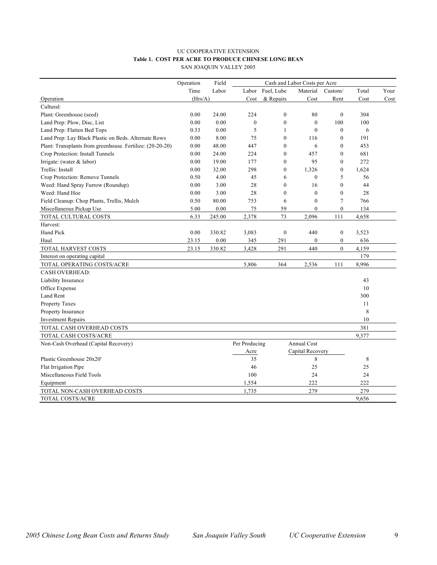#### UC COOPERATIVE EXTENSION **Table 1. COST PER ACRE TO PRODUCE CHINESE LONG BEAN** SAN JOAQUIN VALLEY 2005

|                                                           | Operation | Field  | Cash and Labor Costs per Acre |                  |                    |                  |             |      |
|-----------------------------------------------------------|-----------|--------|-------------------------------|------------------|--------------------|------------------|-------------|------|
|                                                           | Time      | Labor  | Labor                         | Fuel, Lube       | Material           | Custom/          | Total       | Your |
| Operation                                                 | (Hrs/A)   |        | Cost                          | & Repairs        | Cost               | Rent             | Cost        | Cost |
| Cultural:                                                 |           |        |                               |                  |                    |                  |             |      |
| Plant: Greenhouse (seed)                                  | 0.00      | 24.00  | 224                           | $\boldsymbol{0}$ | 80                 | $\boldsymbol{0}$ | 304         |      |
| Land Prep: Plow, Disc, List                               | 0.00      | 0.00   | $\mathbf{0}$                  | $\mathbf{0}$     | $\mathbf{0}$       | 100              | 100         |      |
| Land Prep: Flatten Bed Tops                               | 0.33      | 0.00   | 5                             | $\mathbf{1}$     | $\mathbf{0}$       | $\mathbf{0}$     | 6           |      |
| Land Prep: Lay Black Plastic on Beds. Alternate Rows      | 0.00      | 8.00   | 75                            | $\mathbf{0}$     | 116                | $\mathbf{0}$     | 191         |      |
| Plant: Transplants from greenhouse. Fertilize: (20-20-20) | 0.00      | 48.00  | 447                           | $\mathbf{0}$     | 6                  | $\mathbf{0}$     | 453         |      |
| Crop Protection: Install Tunnels                          | 0.00      | 24.00  | 224                           | $\mathbf{0}$     | 457                | $\mathbf{0}$     | 681         |      |
| Irrigate: (water & labor)                                 | 0.00      | 19.00  | 177                           | $\theta$         | 95                 | $\theta$         | 272         |      |
| Trellis: Install                                          | 0.00      | 32.00  | 298                           | $\mathbf{0}$     | 1,326              | $\boldsymbol{0}$ | 1,624       |      |
| Crop Protection: Remove Tunnels                           | 0.50      | 4.00   | 45                            | 6                | $\theta$           | 5                | 56          |      |
| Weed: Hand Spray Furrow (Roundup)                         | 0.00      | 3.00   | 28                            | $\mathbf{0}$     | 16                 | $\mathbf{0}$     | 44          |      |
| Weed: Hand Hoe                                            | 0.00      | 3.00   | 28                            | $\mathbf{0}$     | $\theta$           | $\mathbf{0}$     | 28          |      |
| Field Cleanup: Chop Plants, Trellis, Mulch                | 0.50      | 80.00  | 753                           | 6                | $\mathbf{0}$       | $\overline{7}$   | 766         |      |
| Miscellaneous Pickup Use                                  | 5.00      | 0.00   | 75                            | 59               | $\mathbf{0}$       | $\mathbf{0}$     | 134         |      |
| TOTAL CULTURAL COSTS                                      | 6.33      | 245.00 | 2,378                         | 73               | 2,096              | 111              | 4,658       |      |
| Harvest:                                                  |           |        |                               |                  |                    |                  |             |      |
| <b>Hand Pick</b>                                          | 0.00      | 330.82 | 3,083                         | $\boldsymbol{0}$ | 440                | $\boldsymbol{0}$ | 3,523       |      |
| Haul                                                      | 23.15     | 0.00   | 345                           | 291              | $\boldsymbol{0}$   | $\boldsymbol{0}$ | 636         |      |
| TOTAL HARVEST COSTS                                       | 23.15     | 330.82 | 3,428                         | 291              | 440                | $\theta$         | 4,159       |      |
| Interest on operating capital                             |           |        |                               |                  |                    |                  | 179         |      |
| TOTAL OPERATING COSTS/ACRE                                |           |        | 5,806                         | 364              | 2,536              | 111              | 8,996       |      |
| <b>CASH OVERHEAD:</b>                                     |           |        |                               |                  |                    |                  |             |      |
| Liability Insurance                                       |           |        |                               |                  |                    |                  | 43          |      |
| Office Expense                                            |           |        |                               |                  |                    |                  | 10          |      |
| Land Rent                                                 |           |        |                               |                  |                    |                  | 300         |      |
| <b>Property Taxes</b>                                     |           |        |                               |                  |                    |                  | 11          |      |
| Property Insurance                                        |           |        |                               |                  |                    |                  | $\,$ 8 $\,$ |      |
| <b>Investment Repairs</b>                                 |           |        |                               |                  |                    |                  | 10          |      |
| TOTAL CASH OVERHEAD COSTS                                 |           |        |                               |                  |                    |                  | 381         |      |
| TOTAL CASH COSTS/ACRE                                     |           |        |                               |                  |                    |                  | 9,377       |      |
| Non-Cash Overhead (Capital Recovery)                      |           |        | Per Producing                 |                  | <b>Annual Cost</b> |                  |             |      |
|                                                           |           |        | Acre                          |                  | Capital Recovery   |                  |             |      |
| Plastic Greenhouse 20x20'                                 |           |        | 35                            |                  | 8                  |                  | 8           |      |
| Flat Irrigation Pipe                                      |           |        | 46                            |                  | 25                 |                  | 25          |      |
| Miscellaneous Field Tools                                 |           |        | 100                           |                  | 24                 |                  | 24          |      |
| Equipment                                                 |           |        | 1,554                         |                  | 222                |                  | 222         |      |
| TOTAL NON-CASH OVERHEAD COSTS                             |           |        | 1,735                         |                  | 279                |                  | 279         |      |
| TOTAL COSTS/ACRE                                          |           |        |                               |                  |                    |                  | 9.656       |      |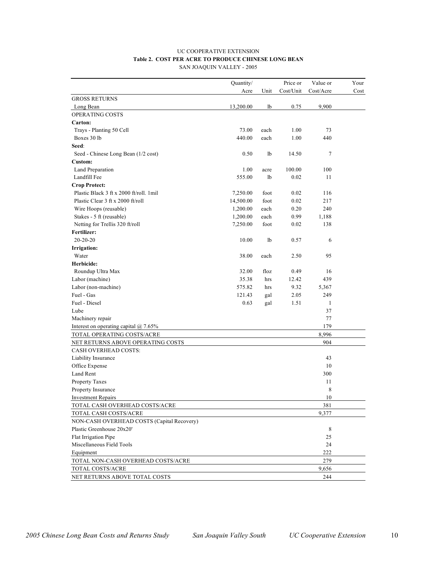#### UC COOPERATIVE EXTENSION **Table 2. COST PER ACRE TO PRODUCE CHINESE LONG BEAN** SAN JOAQUIN VALLEY - 2005

|                                              | Quantity/ |      | Price or  | Value or  | Your |
|----------------------------------------------|-----------|------|-----------|-----------|------|
|                                              | Acre      | Unit | Cost/Unit | Cost/Acre | Cost |
| <b>GROSS RETURNS</b>                         |           |      |           |           |      |
| Long Bean                                    | 13,200.00 | lb   | 0.75      | 9,900     |      |
| OPERATING COSTS                              |           |      |           |           |      |
| <b>Carton:</b>                               |           |      |           |           |      |
| Trays - Planting 50 Cell                     | 73.00     | each | 1.00      | 73        |      |
| Boxes 30 lb                                  | 440.00    | each | 1.00      | 440       |      |
| Seed:                                        |           |      |           |           |      |
| Seed - Chinese Long Bean (1/2 cost)          | 0.50      | 1b   | 14.50     | 7         |      |
| Custom:                                      |           |      |           |           |      |
| Land Preparation                             | 1.00      | acre | 100.00    | 100       |      |
| Landfill Fee                                 | 555.00    | lb   | 0.02      | 11        |      |
| <b>Crop Protect:</b>                         |           |      |           |           |      |
| Plastic Black 3 ft x 2000 ft/roll. 1 mil     | 7,250.00  | foot | 0.02      | 116       |      |
| Plastic Clear 3 ft x 2000 ft/roll            | 14,500.00 | foot | 0.02      | 217       |      |
| Wire Hoops (reusable)                        | 1,200.00  | each | 0.20      | 240       |      |
| Stakes - 5 ft (reusable)                     | 1,200.00  | each | 0.99      | 1,188     |      |
| Netting for Trellis 320 ft/roll              | 7,250.00  | foot | 0.02      | 138       |      |
| Fertilizer:                                  |           |      |           |           |      |
| $20 - 20 - 20$                               | 10.00     | 1b   | 0.57      | 6         |      |
| Irrigation:                                  |           |      |           |           |      |
| Water                                        | 38.00     | each | 2.50      | 95        |      |
| Herbicide:                                   |           |      |           |           |      |
| Roundup Ultra Max                            | 32.00     | floz | 0.49      | 16        |      |
| Labor (machine)                              | 35.38     | hrs  | 12.42     | 439       |      |
| Labor (non-machine)                          | 575.82    | hrs  | 9.32      | 5,367     |      |
| Fuel - Gas                                   | 121.43    | gal  | 2.05      | 249       |      |
| Fuel - Diesel                                | 0.63      | gal  | 1.51      | 1         |      |
| Lube                                         |           |      |           | 37        |      |
| Machinery repair                             |           |      |           | 77        |      |
| Interest on operating capital $\omega$ 7.65% |           |      |           | 179       |      |
| TOTAL OPERATING COSTS/ACRE                   |           |      |           | 8,996     |      |
| NET RETURNS ABOVE OPERATING COSTS            |           |      |           | 904       |      |
| CASH OVERHEAD COSTS:                         |           |      |           |           |      |
| Liability Insurance                          |           |      |           | 43        |      |
| Office Expense                               |           |      |           | 10        |      |
| Land Rent                                    |           |      |           | 300       |      |
| Property Taxes                               |           |      |           | 11        |      |
| Property Insurance                           |           |      |           | 8         |      |
| <b>Investment Repairs</b>                    |           |      |           | $10\,$    |      |
| TOTAL CASH OVERHEAD COSTS/ACRE               |           |      |           | 381       |      |
| TOTAL CASH COSTS/ACRE                        |           |      |           | 9,377     |      |
| NON-CASH OVERHEAD COSTS (Capital Recovery)   |           |      |           |           |      |
| Plastic Greenhouse 20x20'                    |           |      |           | 8         |      |
| Flat Irrigation Pipe                         |           |      |           | 25        |      |
| Miscellaneous Field Tools                    |           |      |           | 24        |      |
| Equipment                                    |           |      |           | 222       |      |
| TOTAL NON-CASH OVERHEAD COSTS/ACRE           |           |      |           | 279       |      |
| TOTAL COSTS/ACRE                             |           |      |           | 9,656     |      |
| NET RETURNS ABOVE TOTAL COSTS                |           |      |           | 244       |      |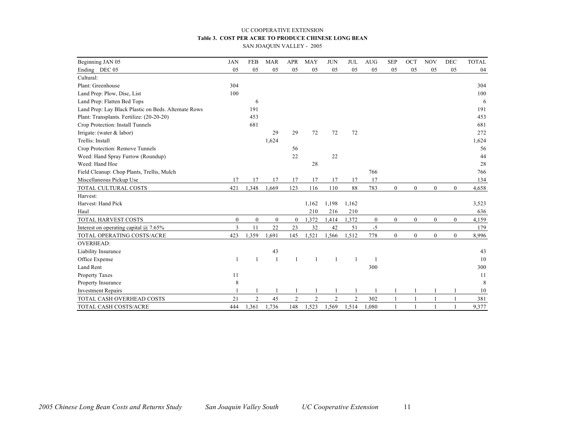# UC COOPERATIVE EXTENSION **Table 3. COST PER ACRE TO PRODUCE CHINESE LONG BEAN**

SAN JOAQUIN VALLEY - 2005

| Beginning JAN 05                                     | <b>JAN</b>   | <b>FEB</b>       | <b>MAR</b>       | <b>APR</b>               | <b>MAY</b>     | <b>JUN</b>     | <b>JUL</b>     | <b>AUG</b>       | <b>SEP</b>       | OCT              | <b>NOV</b>     | <b>DEC</b>       | <b>TOTAL</b> |
|------------------------------------------------------|--------------|------------------|------------------|--------------------------|----------------|----------------|----------------|------------------|------------------|------------------|----------------|------------------|--------------|
| Ending DEC 05                                        | 05           | 05               | 05               | 05                       | 05             | 05             | 05             | 05               | 05               | 05               | 05             | 05               | 04           |
| Cultural:                                            |              |                  |                  |                          |                |                |                |                  |                  |                  |                |                  |              |
| Plant: Greenhouse                                    | 304          |                  |                  |                          |                |                |                |                  |                  |                  |                |                  | 304          |
| Land Prep: Plow, Disc, List                          | 100          |                  |                  |                          |                |                |                |                  |                  |                  |                |                  | 100          |
| Land Prep: Flatten Bed Tops                          |              | 6                |                  |                          |                |                |                |                  |                  |                  |                |                  | 6            |
| Land Prep: Lay Black Plastic on Beds. Alternate Rows |              | 191              |                  |                          |                |                |                |                  |                  |                  |                |                  | 191          |
| Plant: Transplants. Fertilize: (20-20-20)            |              | 453              |                  |                          |                |                |                |                  |                  |                  |                |                  | 453          |
| Crop Protection: Install Tunnels                     |              | 681              |                  |                          |                |                |                |                  |                  |                  |                |                  | 681          |
| Irrigate: (water $&$ labor)                          |              |                  | 29               | 29                       | 72             | 72             | 72             |                  |                  |                  |                |                  | 272          |
| Trellis: Install                                     |              |                  | 1,624            |                          |                |                |                |                  |                  |                  |                |                  | 1,624        |
| Crop Protection: Remove Tunnels                      |              |                  |                  | 56                       |                |                |                |                  |                  |                  |                |                  | 56           |
| Weed: Hand Spray Furrow (Roundup)                    |              |                  |                  | 22                       |                | 22             |                |                  |                  |                  |                |                  | 44           |
| Weed: Hand Hoe                                       |              |                  |                  |                          | 28             |                |                |                  |                  |                  |                |                  | 28           |
| Field Cleanup: Chop Plants, Trellis, Mulch           |              |                  |                  |                          |                |                |                | 766              |                  |                  |                |                  | 766          |
| Miscellaneous Pickup Use                             | 17           | 17               | 17               | 17                       | 17             | 17             | 17             | 17               |                  |                  |                |                  | 134          |
| TOTAL CULTURAL COSTS                                 | 421          | 1,348            | 1.669            | 123                      | 116            | 110            | 88             | 783              | $\mathbf{0}$     | $\mathbf{0}$     | $\theta$       | $\mathbf{0}$     | 4,658        |
| Harvest:                                             |              |                  |                  |                          |                |                |                |                  |                  |                  |                |                  |              |
| Harvest: Hand Pick                                   |              |                  |                  |                          | 1,162          | 1,198          | 1,162          |                  |                  |                  |                |                  | 3,523        |
| Haul                                                 |              |                  |                  |                          | 210            | 216            | 210            |                  |                  |                  |                |                  | 636          |
| <b>TOTAL HARVEST COSTS</b>                           | $\mathbf{0}$ | $\boldsymbol{0}$ | $\boldsymbol{0}$ | $\overline{0}$           | 1,372          | ,414           | 1,372          | $\boldsymbol{0}$ | $\boldsymbol{0}$ | $\boldsymbol{0}$ | $\overline{0}$ | $\boldsymbol{0}$ | 4,159        |
| Interest on operating capital $@$ 7.65%              | 3            | 11               | 22               | 23                       | 32             | 42             | 51             | $-5$             |                  |                  |                |                  | 179          |
| TOTAL OPERATING COSTS/ACRE                           | 423          | 1,359            | 1,691            | 145                      | 1,521          | 1,566          | 1,512          | 778              | $\mathbf{0}$     | $\theta$         | $\Omega$       | $\mathbf{0}$     | 8,996        |
| <b>OVERHEAD:</b>                                     |              |                  |                  |                          |                |                |                |                  |                  |                  |                |                  |              |
| Liability Insurance                                  |              |                  | 43               |                          |                |                |                |                  |                  |                  |                |                  | 43           |
| Office Expense                                       | 1            |                  | -1               | $\overline{\phantom{a}}$ |                | $\mathbf{1}$   |                | $\mathbf{1}$     |                  |                  |                |                  | 10           |
| Land Rent                                            |              |                  |                  |                          |                |                |                | 300              |                  |                  |                |                  | 300          |
| <b>Property Taxes</b>                                | 11           |                  |                  |                          |                |                |                |                  |                  |                  |                |                  | 11           |
| Property Insurance                                   | 8            |                  |                  |                          |                |                |                |                  |                  |                  |                |                  | 8            |
| <b>Investment Repairs</b>                            |              |                  |                  |                          |                |                |                |                  |                  |                  |                |                  | 10           |
| TOTAL CASH OVERHEAD COSTS                            | 21           | $\overline{2}$   | 45               | $\overline{2}$           | $\overline{2}$ | $\overline{c}$ | $\overline{2}$ | 302              |                  | 1                | $\mathbf{1}$   | $\mathbf{1}$     | 381          |
| TOTAL CASH COSTS/ACRE                                | 444          | 1,361            | 1,736            | 148                      | 1,523          | 1,569          | 1,514          | 1,080            |                  | $\mathbf{1}$     | $\mathbf{1}$   | $\mathbf{1}$     | 9,377        |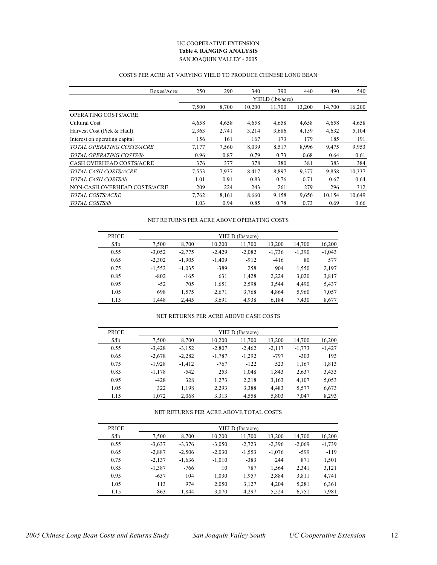#### UC COOPERATIVE EXTENSION **Table 4. RANGING ANALYSIS** SAN JOAQUIN VALLEY - 2005

#### COSTS PER ACRE AT VARYING YIELD TO PRODUCE CHINESE LONG BEAN

| Boxes/Acre:                     | 250   | 290   | 340    | 390              | 440    | 490    | 540    |
|---------------------------------|-------|-------|--------|------------------|--------|--------|--------|
|                                 |       |       |        | YIELD (lbs/acre) |        |        |        |
|                                 | 7,500 | 8,700 | 10,200 | 11,700           | 13,200 | 14,700 | 16,200 |
| <b>OPERATING COSTS/ACRE:</b>    |       |       |        |                  |        |        |        |
| Cultural Cost                   | 4,658 | 4,658 | 4,658  | 4,658            | 4,658  | 4,658  | 4,658  |
| Harvest Cost (Pick & Haul)      | 2,363 | 2,741 | 3,214  | 3,686            | 4,159  | 4,632  | 5,104  |
| Interest on operating capital   | 156   | 161   | 167    | 173              | 179    | 185    | 191    |
| TOTAL OPERATING COSTS/ACRE      | 7,177 | 7,560 | 8,039  | 8,517            | 8,996  | 9,475  | 9,953  |
| <b>TOTAL OPERATING COSTS/lb</b> | 0.96  | 0.87  | 0.79   | 0.73             | 0.68   | 0.64   | 0.61   |
| <b>CASH OVERHEAD COSTS/ACRE</b> | 376   | 377   | 378    | 380              | 381    | 383    | 384    |
| TOTAL CASH COSTS/ACRE           | 7.553 | 7.937 | 8.417  | 8,897            | 9,377  | 9,858  | 10,337 |
| TOTAL CASH COSTS/lb             | 1.01  | 0.91  | 0.83   | 0.76             | 0.71   | 0.67   | 0.64   |
| NON-CASH OVERHEAD COSTS/ACRE    | 209   | 224   | 243    | 261              | 279    | 296    | 312    |
| TOTAL COSTS/ACRE                | 7,762 | 8,161 | 8,660  | 9,158            | 9,656  | 10,154 | 10,649 |
| <b>TOTAL COSTS/lb</b>           | 1.03  | 0.94  | 0.85   | 0.78             | 0.73   | 0.69   | 0.66   |

#### NET RETURNS PER ACRE ABOVE OPERATING COSTS

| <b>PRICE</b> | YIELD (lbs/acre) |          |          |          |          |          |          |  |  |  |
|--------------|------------------|----------|----------|----------|----------|----------|----------|--|--|--|
| \$/lb        | 7,500            | 8,700    | 10,200   | 11,700   | 13,200   | 14,700   | 16,200   |  |  |  |
| 0.55         | $-3,052$         | $-2,775$ | $-2.429$ | $-2,082$ | $-1,736$ | $-1.390$ | $-1,043$ |  |  |  |
| 0.65         | $-2,302$         | $-1.905$ | $-1,409$ | $-912$   | $-416$   | 80       | 577      |  |  |  |
| 0.75         | $-1,552$         | $-1,035$ | $-389$   | 258      | 904      | 1,550    | 2,197    |  |  |  |
| 0.85         | $-802$           | $-165$   | 631      | 1,428    | 2.224    | 3,020    | 3,817    |  |  |  |
| 0.95         | $-52$            | 705      | 1,651    | 2,598    | 3,544    | 4.490    | 5,437    |  |  |  |
| 1.05         | 698              | 1,575    | 2,671    | 3.768    | 4,864    | 5,960    | 7,057    |  |  |  |
| 1.15         | 1.448            | 2,445    | 3,691    | 4,938    | 6,184    | 7,430    | 8,677    |  |  |  |

#### NET RETURNS PER ACRE ABOVE CASH COSTS

| <b>PRICE</b> | YIELD (lbs/acre) |          |          |          |          |          |          |  |  |  |  |
|--------------|------------------|----------|----------|----------|----------|----------|----------|--|--|--|--|
| \$/lb        | 7.500            | 8.700    | 10.200   | 11,700   | 13.200   | 14.700   | 16,200   |  |  |  |  |
| 0.55         | $-3.428$         | $-3,152$ | $-2,807$ | $-2,462$ | $-2.117$ | $-1,773$ | $-1,427$ |  |  |  |  |
| 0.65         | $-2,678$         | $-2,282$ | $-1,787$ | $-1,292$ | $-797$   | $-303$   | 193      |  |  |  |  |
| 0.75         | $-1.928$         | $-1,412$ | $-767$   | $-122$   | 523      | 1,167    | 1,813    |  |  |  |  |
| 0.85         | $-1.178$         | $-542$   | 253      | 1.048    | 1,843    | 2,637    | 3,433    |  |  |  |  |
| 0.95         | $-428$           | 328      | 1.273    | 2,218    | 3,163    | 4,107    | 5,053    |  |  |  |  |
| 1.05         | 322              | 1,198    | 2,293    | 3,388    | 4.483    | 5,577    | 6,673    |  |  |  |  |
| 1.15         | 1.072            | 2,068    | 3,313    | 4,558    | 5,803    | 7.047    | 8.293    |  |  |  |  |

NET RETURNS PER ACRE ABOVE TOTAL COSTS

| <b>PRICE</b> |          |          |          | YIELD (lbs/acre) |          |          |          |
|--------------|----------|----------|----------|------------------|----------|----------|----------|
| \$/lb        | 7,500    | 8,700    | 10,200   | 11,700           | 13.200   | 14,700   | 16,200   |
| 0.55         | $-3,637$ | $-3,376$ | $-3,050$ | $-2,723$         | $-2,396$ | $-2,069$ | $-1,739$ |
| 0.65         | $-2,887$ | $-2,506$ | $-2,030$ | $-1,553$         | $-1,076$ | $-599$   | $-119$   |
| 0.75         | $-2,137$ | $-1,636$ | $-1,010$ | $-383$           | 244      | 871      | 1,501    |
| 0.85         | $-1,387$ | -766     | 10       | 787              | 1,564    | 2,341    | 3,121    |
| 0.95         | $-637$   | 104      | 1,030    | 1,957            | 2,884    | 3,811    | 4,741    |
| 1.05         | 113      | 974      | 2,050    | 3,127            | 4.204    | 5,281    | 6,361    |
| 1.15         | 863      | 1.844    | 3,070    | 4.297            | 5,524    | 6,751    | 7,981    |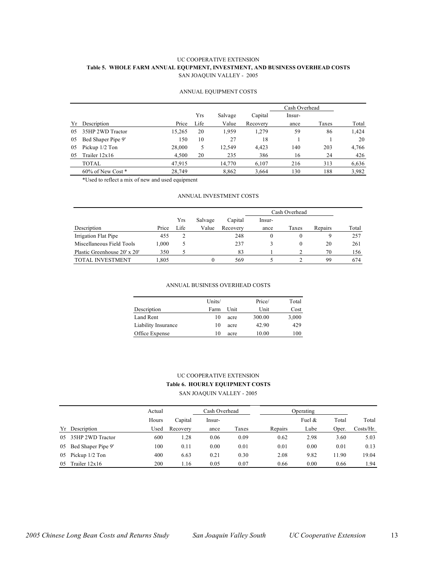#### UC COOPERATIVE EXTENSION **Table 5. WHOLE FARM ANNUAL EQUPMENT, INVESTMENT, AND BUSINESS OVERHEAD COSTS** SAN JOAQUIN VALLEY - 2005

#### ANNUAL EQUIPMENT COSTS

|     |                        |        |      |         |          | Cash Overhead |       |       |
|-----|------------------------|--------|------|---------|----------|---------------|-------|-------|
|     |                        |        | Yrs  | Salvage | Capital  | Insur-        |       |       |
| Yr  | Description            | Price  | Life | Value   | Recovery | ance          | Taxes | Total |
| 0.5 | 35HP 2WD Tractor       | 15,265 | 20   | 1.959   | 1,279    | 59            | 86    | 1,424 |
| 05  | Bed Shaper Pipe 9'     | 150    | 10   | 27      | 18       |               |       | 20    |
| 05  | Pickup 1/2 Ton         | 28,000 | 5    | 12,549  | 4,423    | 140           | 203   | 4,766 |
| 05  | Trailer $12x16$        | 4,500  | 20   | 235     | 386      | 16            | 24    | 426   |
|     | TOTAL                  | 47,915 |      | 14,770  | 6.107    | 216           | 313   | 6,636 |
|     | $60\%$ of New Cost $*$ | 28.749 |      | 8,862   | 3,664    | 130           | 188   | 3,982 |

\*Used to reflect a mix of new and used equipment

#### ANNUAL INVESTMENT COSTS

|                              |       |      |         |          | Cash Overhead |          |         |       |
|------------------------------|-------|------|---------|----------|---------------|----------|---------|-------|
|                              |       | Yrs  | Salvage | Capital  | lnsur-        |          |         |       |
| Description                  | Price | Life | Value   | Recovery | ance          | Taxes    | Repairs | Total |
| Irrigation Flat Pipe         | 455   |      |         | 248      |               | $\theta$ | 9       | 257   |
| Miscellaneous Field Tools    | 1,000 | ر    |         | 237      |               | $^{0}$   | 20      | 261   |
| Plastic Greenhouse 20' x 20' | 350   |      |         | 83       |               |          | 70      | 156   |
| <b>TOTAL INVESTMENT</b>      | .805  |      | 0       | 569      |               |          | 99      | 674   |

#### ANNUAL BUSINESS OVERHEAD COSTS

|                     | Units/ |      | Price/ | Total |
|---------------------|--------|------|--------|-------|
| Description         | Farm   | Unit | Unit   | Cost  |
| Land Rent           | 10     | acre | 300.00 | 3,000 |
| Liability Insurance | 10     | acre | 42.90  | 429   |
| Office Expense      | 10     | acre | 10.00  | 100   |

#### UC COOPERATIVE EXTENSION **Table 6. HOURLY EQUIPMENT COSTS**

SAN JOAQUIN VALLEY - 2005

|     |                    | Actual |          | Cash Overhead |       |         | Operating |       |           |
|-----|--------------------|--------|----------|---------------|-------|---------|-----------|-------|-----------|
|     |                    | Hours  | Capital  | Insur-        |       |         | Fuel $\&$ | Total | Total     |
|     | Yr Description     | Used   | Recovery | ance          | Taxes | Repairs | Lube      | Oper. | Costs/Hr. |
| 0.5 | 35HP 2WD Tractor   | 600    | 1.28     | 0.06          | 0.09  | 0.62    | 2.98      | 3.60  | 5.03      |
| 05  | Bed Shaper Pipe 9' | 100    | 0.11     | 0.00          | 0.01  | 0.01    | 0.00      | 0.01  | 0.13      |
| 05  | Pickup 1/2 Ton     | 400    | 6.63     | 0.21          | 0.30  | 2.08    | 9.82      | 11.90 | 19.04     |
| 05  | Trailer $12x16$    | 200    | 1.16     | 0.05          | 0.07  | 0.66    | 0.00      | 0.66  | 1.94      |